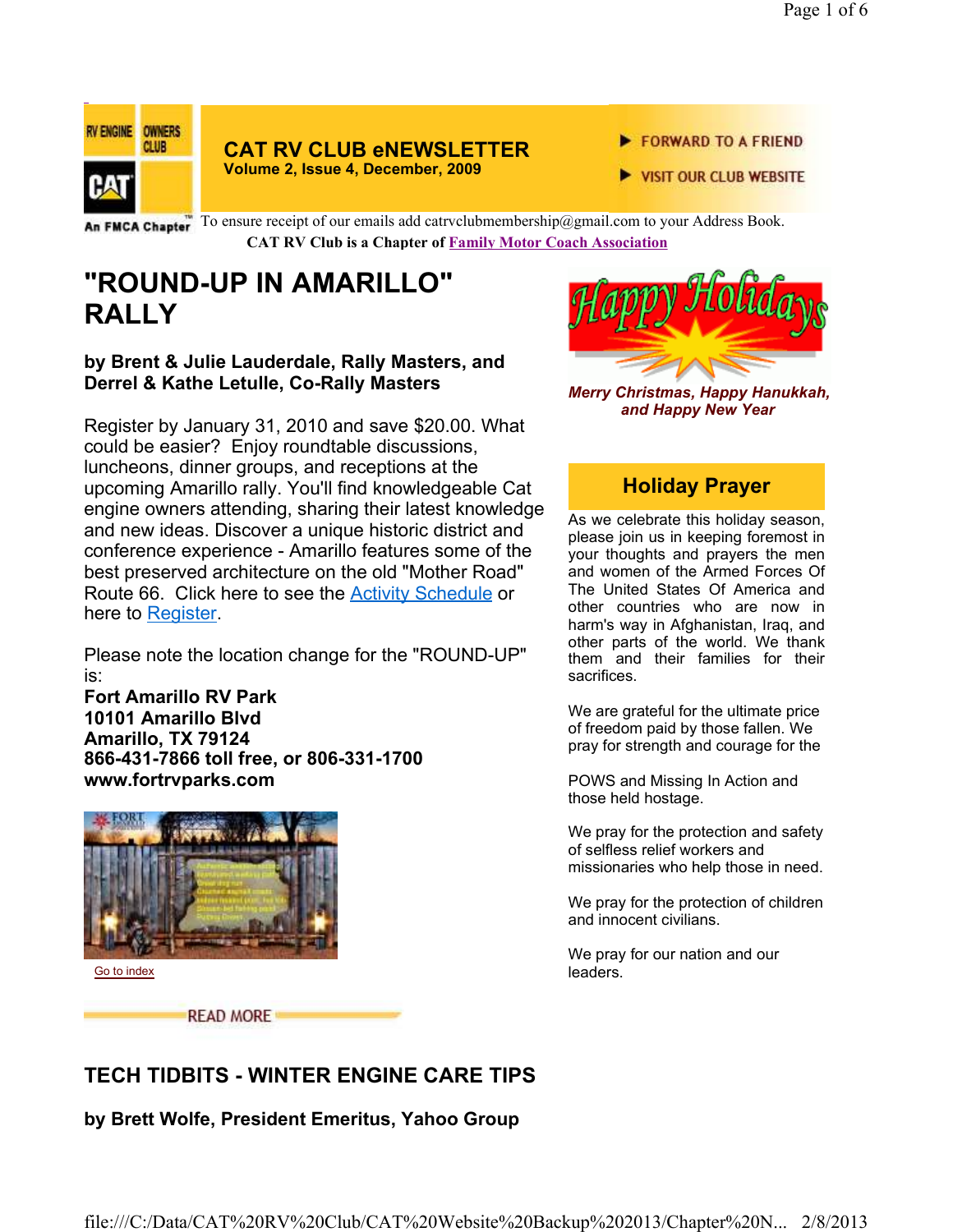

# **CAT RV CLUB eNEWSLETTER**

**Volume 2, Issue 4, December, 2009**

- FORWARD TO A FRIEND
- VISIT OUR CLUB WEBSITE

An FMCA Chapter To ensure receipt of our emails add catrvclubmembership@gmail.com to your Address Book. **CAT RV Club is a Chapter of Family Motor Coach Association** 

## **"ROUND-UP IN AMARILLO" RALLY**

#### **by Brent & Julie Lauderdale, Rally Masters, and Derrel & Kathe Letulle, Co-Rally Masters**

Register by January 31, 2010 and save \$20.00. What could be easier? Enjoy roundtable discussions, luncheons, dinner groups, and receptions at the upcoming Amarillo rally. You'll find knowledgeable Cat engine owners attending, sharing their latest knowledge and new ideas. Discover a unique historic district and conference experience - Amarillo features some of the best preserved architecture on the old "Mother Road" Route 66. Click here to see the Activity Schedule or here to Register.

Please note the location change for the "ROUND-UP" is:

**Fort Amarillo RV Park 10101 Amarillo Blvd Amarillo, TX 79124 866-431-7866 toll free, or 806-331-1700 www.fortrvparks.com**



Go to index

**READ MORE** 



*Merry Christmas, Happy Hanukkah, and Happy New Year*

## **Holiday Prayer**

As we celebrate this holiday season, please join us in keeping foremost in your thoughts and prayers the men and women of the Armed Forces Of The United States Of America and other countries who are now in harm's way in Afghanistan, Iraq, and other parts of the world. We thank them and their families for their sacrifices.

We are grateful for the ultimate price of freedom paid by those fallen. We pray for strength and courage for the

POWS and Missing In Action and those held hostage.

We pray for the protection and safety of selfless relief workers and missionaries who help those in need.

We pray for the protection of children and innocent civilians.

We pray for our nation and our leaders.

## **TECH TIDBITS - WINTER ENGINE CARE TIPS**

**by Brett Wolfe, President Emeritus, Yahoo Group**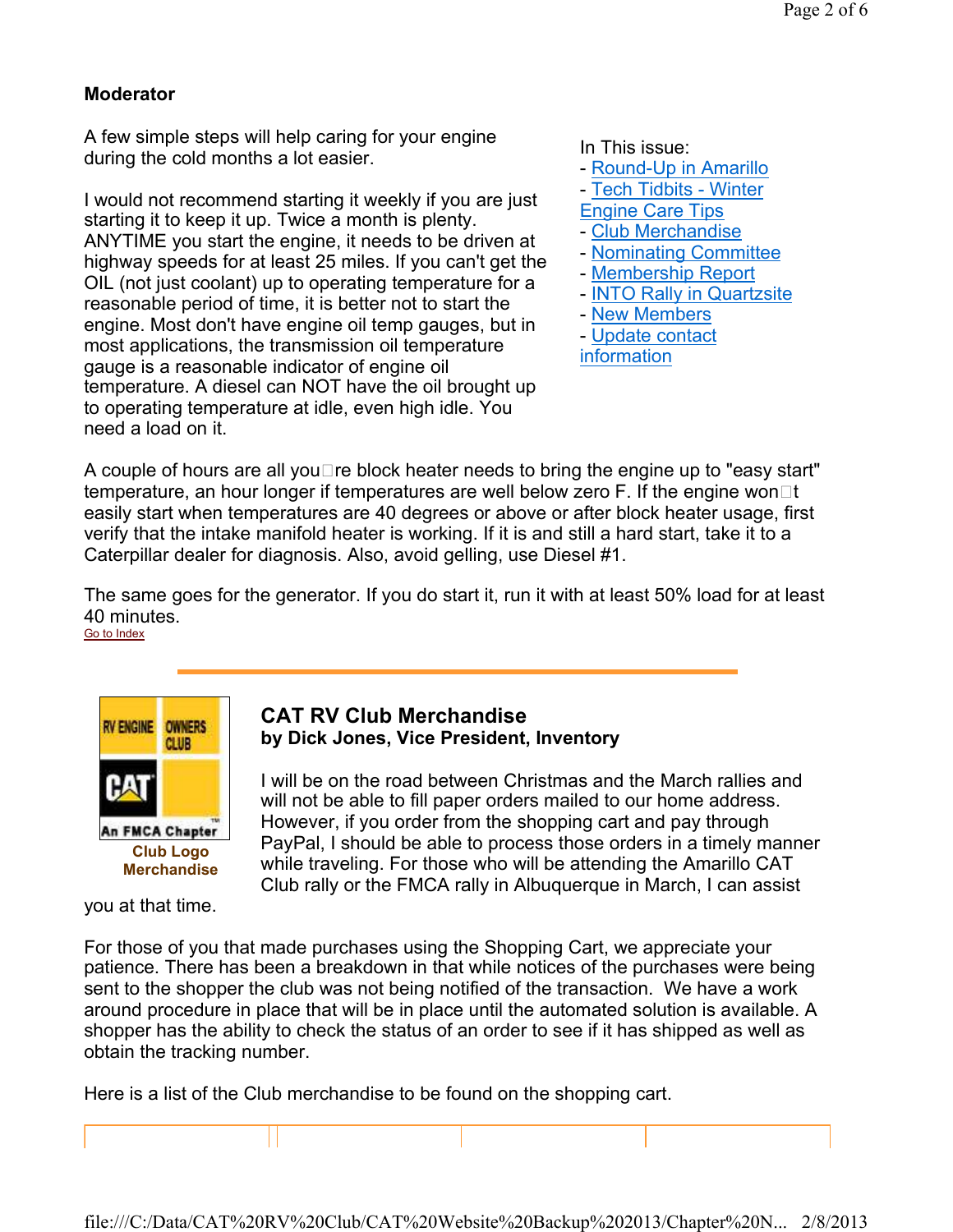#### **Moderator**

A few simple steps will help caring for your engine during the cold months a lot easier.

I would not recommend starting it weekly if you are just starting it to keep it up. Twice a month is plenty. ANYTIME you start the engine, it needs to be driven at highway speeds for at least 25 miles. If you can't get the OIL (not just coolant) up to operating temperature for a reasonable period of time, it is better not to start the engine. Most don't have engine oil temp gauges, but in most applications, the transmission oil temperature gauge is a reasonable indicator of engine oil temperature. A diesel can NOT have the oil brought up to operating temperature at idle, even high idle. You need a load on it.

In This issue:

- Round-Up in Amarillo
- Tech Tidbits Winter
- Engine Care Tips
- Club Merchandise
- Nominating Committee
- Membership Report
- INTO Rally in Quartzsite
- New Members
- Update contact information

A couple of hours are all you $\square$  re block heater needs to bring the engine up to "easy start" temperature, an hour longer if temperatures are well below zero F. If the engine won $\Box t$ easily start when temperatures are 40 degrees or above or after block heater usage, first verify that the intake manifold heater is working. If it is and still a hard start, take it to a Caterpillar dealer for diagnosis. Also, avoid gelling, use Diesel #1.

The same goes for the generator. If you do start it, run it with at least 50% load for at least 40 minutes. Go to Index



# you at that time.

#### **CAT RV Club Merchandise by Dick Jones, Vice President, Inventory**

I will be on the road between Christmas and the March rallies and will not be able to fill paper orders mailed to our home address. However, if you order from the shopping cart and pay through PayPal, I should be able to process those orders in a timely manner while traveling. For those who will be attending the Amarillo CAT Club rally or the FMCA rally in Albuquerque in March, I can assist

For those of you that made purchases using the Shopping Cart, we appreciate your patience. There has been a breakdown in that while notices of the purchases were being sent to the shopper the club was not being notified of the transaction. We have a work around procedure in place that will be in place until the automated solution is available. A shopper has the ability to check the status of an order to see if it has shipped as well as obtain the tracking number.

Here is a list of the Club merchandise to be found on the shopping cart.

file:///C:/Data/CAT%20RV%20Club/CAT%20Website%20Backup%202013/Chapter%20N... 2/8/2013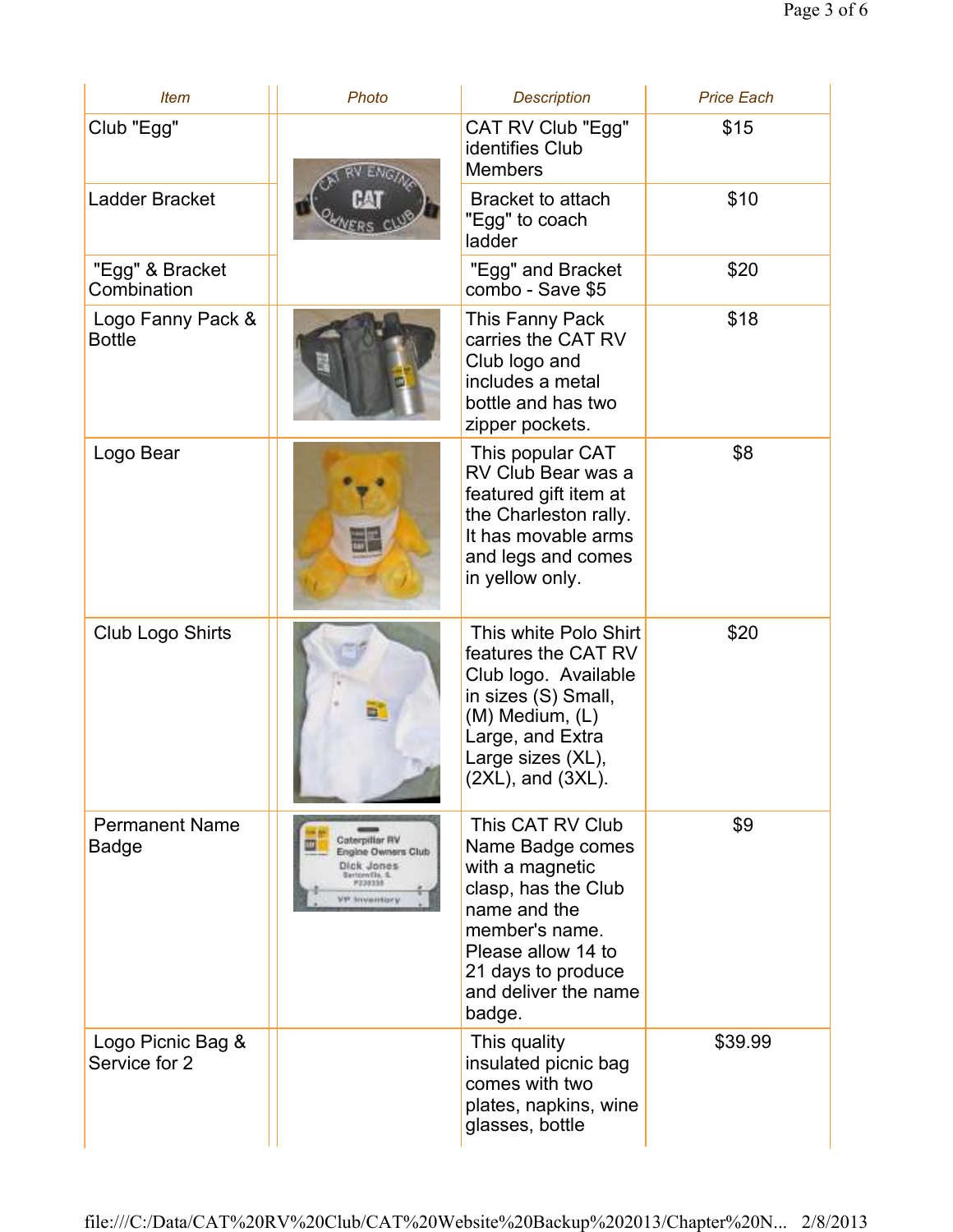| <b>Item</b>                           | Photo                                                                                                                 | <b>Description</b>                                                                                                                                                                             | <b>Price Each</b> |
|---------------------------------------|-----------------------------------------------------------------------------------------------------------------------|------------------------------------------------------------------------------------------------------------------------------------------------------------------------------------------------|-------------------|
| Club "Egg"                            |                                                                                                                       | CAT RV Club "Egg"<br>identifies Club<br><b>Members</b>                                                                                                                                         | \$15              |
| Ladder Bracket                        |                                                                                                                       | Bracket to attach<br>"Egg" to coach<br>ladder                                                                                                                                                  | \$10              |
| "Egg" & Bracket<br>Combination        |                                                                                                                       | "Egg" and Bracket<br>combo - Save \$5                                                                                                                                                          | \$20              |
| Logo Fanny Pack &<br><b>Bottle</b>    |                                                                                                                       | This Fanny Pack<br>carries the CAT RV<br>Club logo and<br>includes a metal<br>bottle and has two<br>zipper pockets.                                                                            | \$18              |
| Logo Bear                             |                                                                                                                       | This popular CAT<br>RV Club Bear was a<br>featured gift item at<br>the Charleston rally.<br>It has movable arms<br>and legs and comes<br>in yellow only.                                       | \$8               |
| Club Logo Shirts                      |                                                                                                                       | This white Polo Shirt<br>features the CAT RV<br>Club logo. Available<br>in sizes (S) Small,<br>(M) Medium, (L)<br>Large, and Extra<br>Large sizes (XL),<br>$(2XL)$ , and $(3XL)$ .             | \$20              |
| <b>Permanent Name</b><br><b>Badge</b> | Caterpillar RV<br>Engine Owners Club<br>Dick Jones<br><b>Bartonville, S.</b><br><b>Massass</b><br><b>VP Snyamtory</b> | This CAT RV Club<br>Name Badge comes<br>with a magnetic<br>clasp, has the Club<br>name and the<br>member's name.<br>Please allow 14 to<br>21 days to produce<br>and deliver the name<br>badge. | \$9               |
| Logo Picnic Bag &<br>Service for 2    |                                                                                                                       | This quality<br>insulated picnic bag<br>comes with two<br>plates, napkins, wine<br>glasses, bottle                                                                                             | \$39.99           |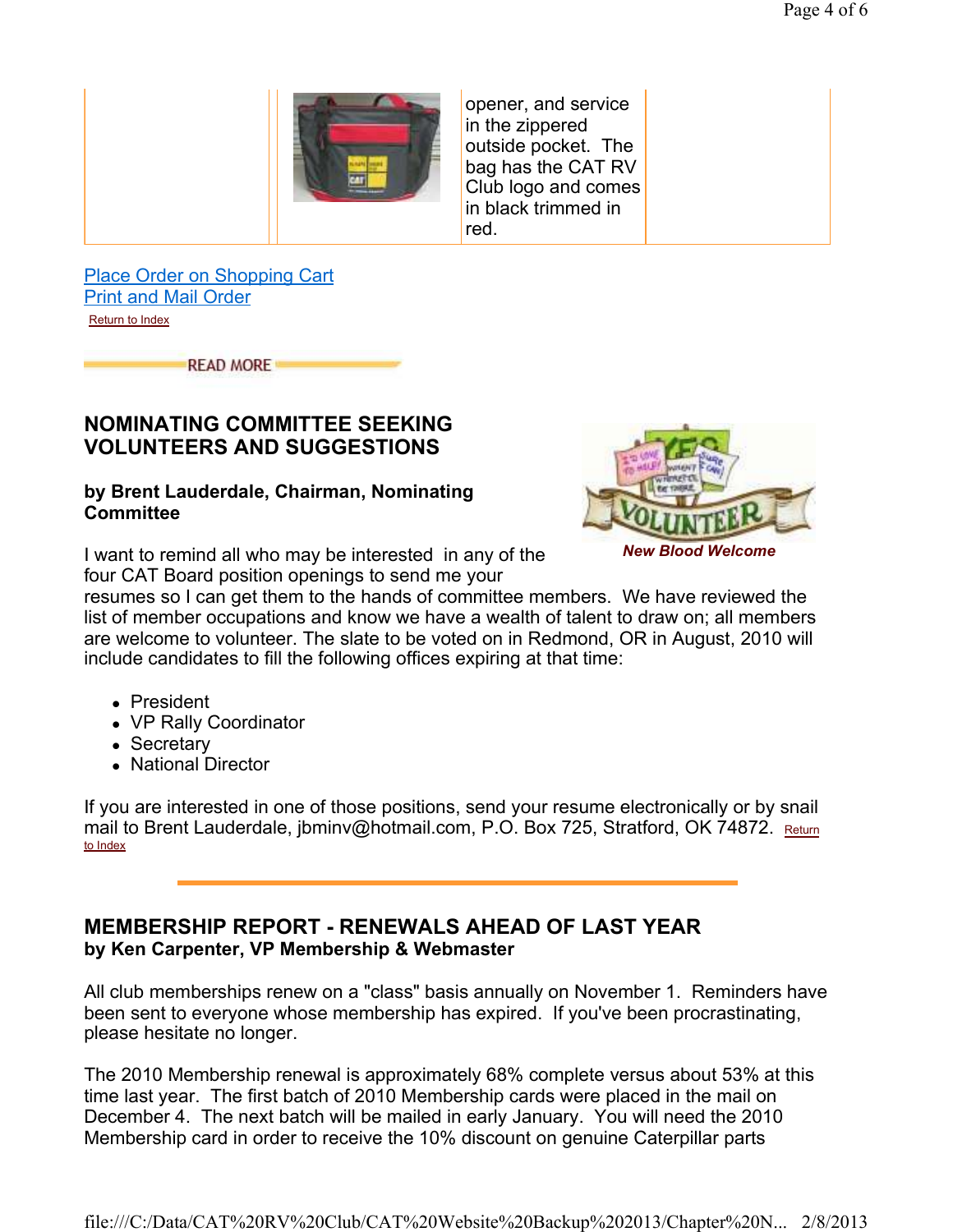

opener, and service in the zippered outside pocket. The bag has the CAT RV Club logo and comes in black trimmed in red.

Place Order on Shopping Cart Print and Mail Order Return to Index

**READ MORE** 

#### **NOMINATING COMMITTEE SEEKING VOLUNTEERS AND SUGGESTIONS**

#### **by Brent Lauderdale, Chairman, Nominating Committee**

I want to remind all who may be interested in any of the four CAT Board position openings to send me your



*New Blood Welcome*

resumes so I can get them to the hands of committee members. We have reviewed the list of member occupations and know we have a wealth of talent to draw on; all members are welcome to volunteer. The slate to be voted on in Redmond, OR in August, 2010 will include candidates to fill the following offices expiring at that time:

- President
- VP Rally Coordinator
- Secretary
- National Director

If you are interested in one of those positions, send your resume electronically or by snail mail to Brent Lauderdale, jbminv@hotmail.com, P.O. Box 725, Stratford, OK 74872. Return to Index

#### **MEMBERSHIP REPORT - RENEWALS AHEAD OF LAST YEAR by Ken Carpenter, VP Membership & Webmaster**

All club memberships renew on a "class" basis annually on November 1. Reminders have been sent to everyone whose membership has expired. If you've been procrastinating, please hesitate no longer.

The 2010 Membership renewal is approximately 68% complete versus about 53% at this time last year. The first batch of 2010 Membership cards were placed in the mail on December 4. The next batch will be mailed in early January. You will need the 2010 Membership card in order to receive the 10% discount on genuine Caterpillar parts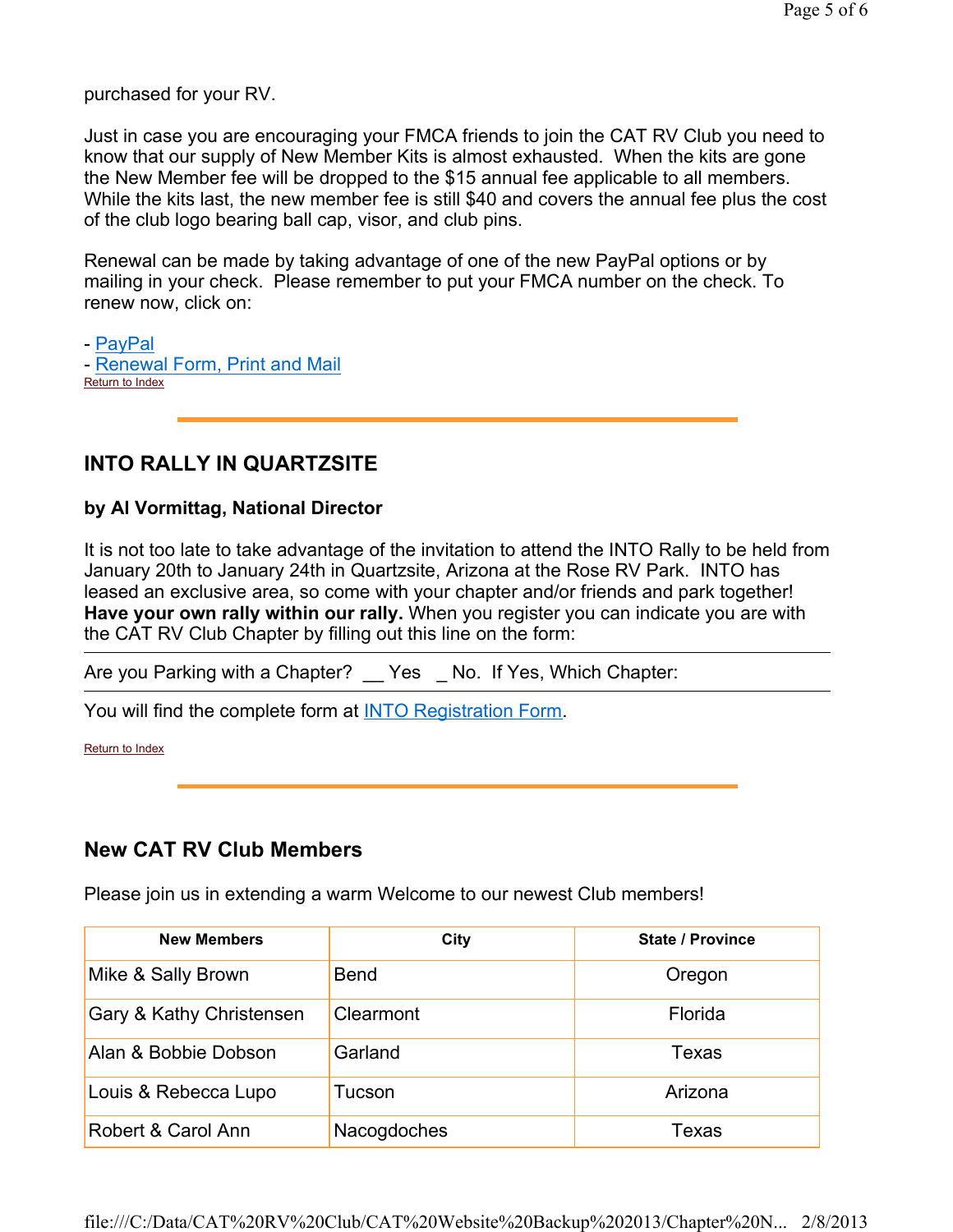purchased for your RV.

Just in case you are encouraging your FMCA friends to join the CAT RV Club you need to know that our supply of New Member Kits is almost exhausted. When the kits are gone the New Member fee will be dropped to the \$15 annual fee applicable to all members. While the kits last, the new member fee is still \$40 and covers the annual fee plus the cost of the club logo bearing ball cap, visor, and club pins.

Renewal can be made by taking advantage of one of the new PayPal options or by mailing in your check. Please remember to put your FMCA number on the check. To renew now, click on:

- PayPal - Renewal Form, Print and Mail Return to Index

## **INTO RALLY IN QUARTZSITE**

#### **by Al Vormittag, National Director**

It is not too late to take advantage of the invitation to attend the INTO Rally to be held from January 20th to January 24th in Quartzsite, Arizona at the Rose RV Park. INTO has leased an exclusive area, so come with your chapter and/or friends and park together! **Have your own rally within our rally.** When you register you can indicate you are with the CAT RV Club Chapter by filling out this line on the form:

Are you Parking with a Chapter? \_\_ Yes \_ No. If Yes, Which Chapter:

You will find the complete form at **INTO Registration Form.** 

Return to Index

### **New CAT RV Club Members**

Please join us in extending a warm Welcome to our newest Club members!

| <b>New Members</b>       | City        | <b>State / Province</b> |
|--------------------------|-------------|-------------------------|
| Mike & Sally Brown       | <b>Bend</b> | Oregon                  |
| Gary & Kathy Christensen | Clearmont   | Florida                 |
| Alan & Bobbie Dobson     | Garland     | Texas                   |
| Louis & Rebecca Lupo     | Tucson      | Arizona                 |
| Robert & Carol Ann       | Nacogdoches | Texas                   |